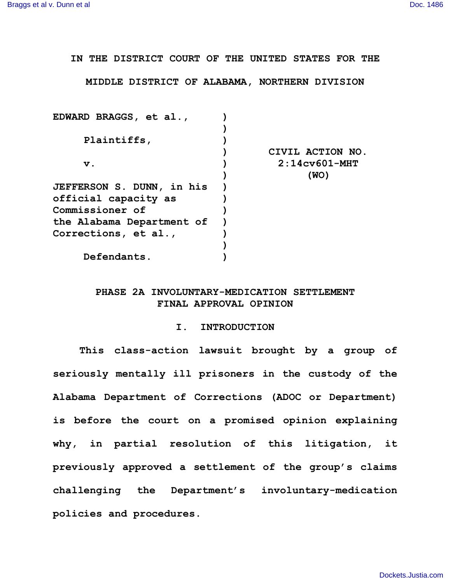**IN THE DISTRICT COURT OF THE UNITED STATES FOR THE**

**MIDDLE DISTRICT OF ALABAMA, NORTHERN DIVISION**

| EDWARD BRAGGS, et al.,           |                  |
|----------------------------------|------------------|
|                                  |                  |
| Plaintiffs,                      |                  |
|                                  | CIVIL ACTION NO. |
| $\mathbf v$ .                    | $2:14c$ v601-MHT |
|                                  | (WO)             |
| <b>JEFFERSON S. DUNN, in his</b> |                  |
| official capacity as             |                  |
| Commissioner of                  |                  |
| the Alabama Department of        |                  |
| Corrections, et al.,             |                  |
|                                  |                  |
| Defendants.                      |                  |
|                                  |                  |

# **PHASE 2A INVOLUNTARY-MEDICATION SETTLEMENT FINAL APPROVAL OPINION**

#### **I. INTRODUCTION**

**This class-action lawsuit brought by a group of seriously mentally ill prisoners in the custody of the Alabama Department of Corrections (ADOC or Department) is before the court on a promised opinion explaining why, in partial resolution of this litigation, it previously approved a settlement of the group's claims challenging the Department's involuntary-medication policies and procedures.**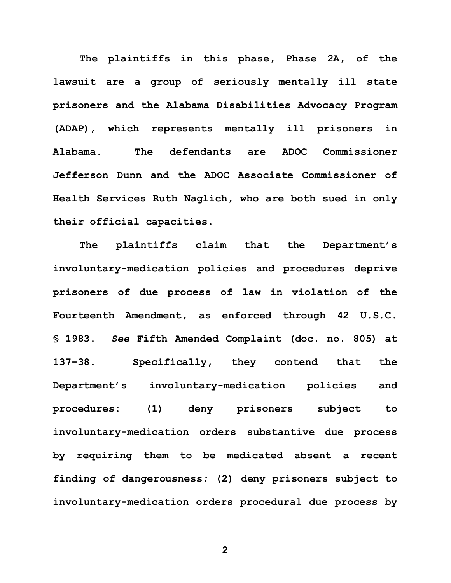**The plaintiffs in this phase, Phase 2A, of the lawsuit are a group of seriously mentally ill state prisoners and the Alabama Disabilities Advocacy Program (ADAP), which represents mentally ill prisoners in Alabama. The defendants are ADOC Commissioner Jefferson Dunn and the ADOC Associate Commissioner of Health Services Ruth Naglich, who are both sued in only their official capacities.**

**The plaintiffs claim that the Department's involuntary-medication policies and procedures deprive prisoners of due process of law in violation of the Fourteenth Amendment, as enforced through 42 U.S.C. § 1983.** *See* **Fifth Amended Complaint (doc. no. 805) at 137–38. Specifically, they contend that the Department's involuntary-medication policies and procedures: (1) deny prisoners subject to involuntary-medication orders substantive due process by requiring them to be medicated absent a recent finding of dangerousness; (2) deny prisoners subject to involuntary-medication orders procedural due process by**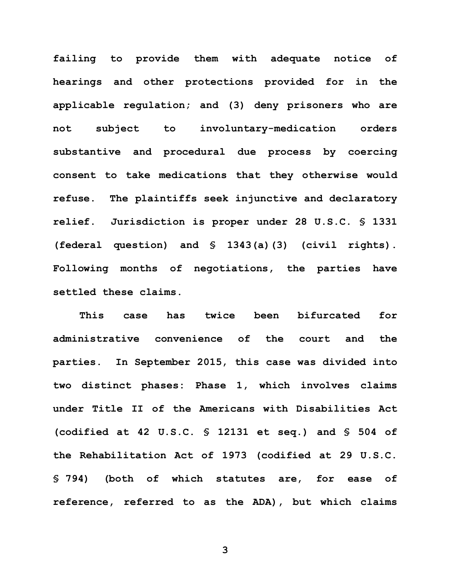**failing to provide them with adequate notice of hearings and other protections provided for in the applicable regulation; and (3) deny prisoners who are not subject to involuntary-medication orders substantive and procedural due process by coercing consent to take medications that they otherwise would refuse. The plaintiffs seek injunctive and declaratory relief. Jurisdiction is proper under 28 U.S.C. § 1331 (federal question) and § 1343(a)(3) (civil rights). Following months of negotiations, the parties have settled these claims.** 

**This case has twice been bifurcated for administrative convenience of the court and the parties. In September 2015, this case was divided into two distinct phases: Phase 1, which involves claims under Title II of the Americans with Disabilities Act (codified at 42 U.S.C. § 12131 et seq.) and § 504 of the Rehabilitation Act of 1973 (codified at 29 U.S.C. § 794) (both of which statutes are, for ease of reference, referred to as the ADA), but which claims**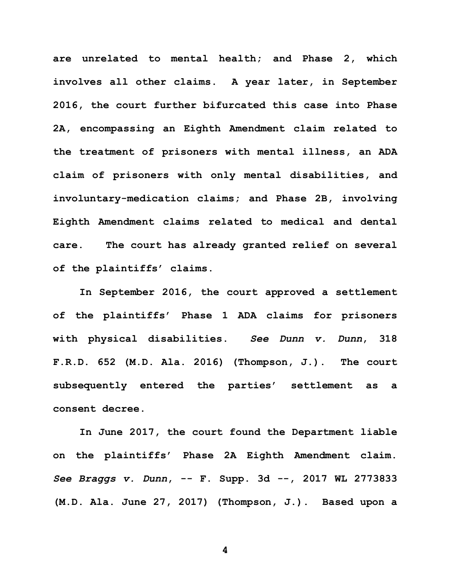**are unrelated to mental health; and Phase 2, which involves all other claims. A year later, in September 2016, the court further bifurcated this case into Phase 2A, encompassing an Eighth Amendment claim related to the treatment of prisoners with mental illness, an ADA claim of prisoners with only mental disabilities, and involuntary-medication claims; and Phase 2B, involving Eighth Amendment claims related to medical and dental care. The court has already granted relief on several of the plaintiffs' claims.** 

**In September 2016, the court approved a settlement of the plaintiffs' Phase 1 ADA claims for prisoners with physical disabilities.** *See Dunn v. Dunn***, 318 F.R.D. 652 (M.D. Ala. 2016) (Thompson, J.). The court subsequently entered the parties' settlement as a consent decree.**

**In June 2017, the court found the Department liable on the plaintiffs' Phase 2A Eighth Amendment claim.** *See Braggs v. Dunn***, -- F. Supp. 3d --, 2017 WL 2773833 (M.D. Ala. June 27, 2017) (Thompson, J.). Based upon a**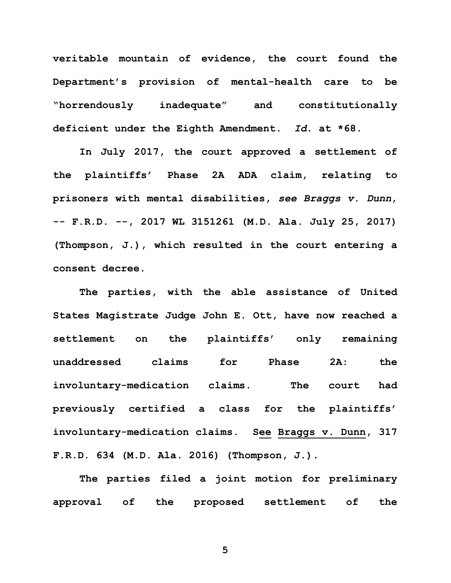**veritable mountain of evidence, the court found the Department's provision of mental-health care to be "horrendously inadequate" and constitutionally deficient under the Eighth Amendment.** *Id***. at \*68.** 

**In July 2017, the court approved a settlement of the plaintiffs' Phase 2A ADA claim, relating to prisoners with mental disabilities,** *see Braggs v. Dunn***, -- F.R.D. --, 2017 WL 3151261 (M.D. Ala. July 25, 2017) (Thompson, J.), which resulted in the court entering a consent decree.** 

**The parties, with the able assistance of United States Magistrate Judge John E. Ott, have now reached a settlement on the plaintiffs' only remaining unaddressed claims for Phase 2A: the involuntary-medication claims. The court had previously certified a class for the plaintiffs' involuntary-medication claims. See Braggs v. Dunn, 317 F.R.D. 634 (M.D. Ala. 2016) (Thompson, J.).**

**The parties filed a joint motion for preliminary approval of the proposed settlement of the**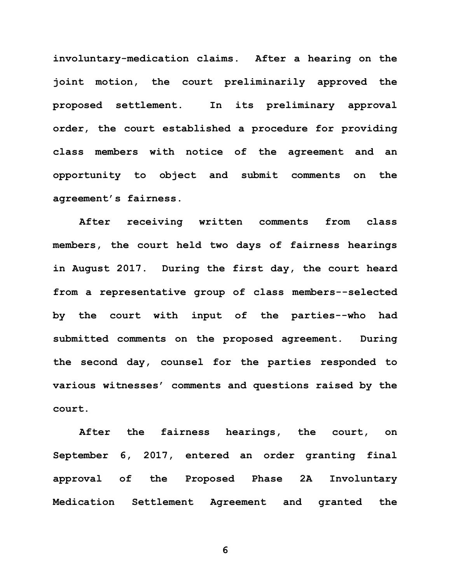**involuntary-medication claims. After a hearing on the joint motion, the court preliminarily approved the proposed settlement. In its preliminary approval order, the court established a procedure for providing class members with notice of the agreement and an opportunity to object and submit comments on the agreement's fairness.**

**After receiving written comments from class members, the court held two days of fairness hearings in August 2017. During the first day, the court heard from a representative group of class members--selected by the court with input of the parties--who had submitted comments on the proposed agreement. During the second day, counsel for the parties responded to various witnesses' comments and questions raised by the court.**

**After the fairness hearings, the court, on September 6, 2017, entered an order granting final approval of the Proposed Phase 2A Involuntary Medication Settlement Agreement and granted the**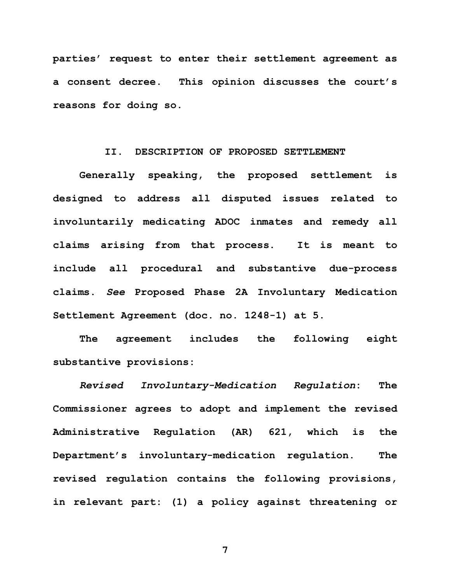**parties' request to enter their settlement agreement as a consent decree. This opinion discusses the court's reasons for doing so.** 

#### **II. DESCRIPTION OF PROPOSED SETTLEMENT**

**Generally speaking, the proposed settlement is designed to address all disputed issues related to involuntarily medicating ADOC inmates and remedy all claims arising from that process. It is meant to include all procedural and substantive due-process claims.** *See* **Proposed Phase 2A Involuntary Medication Settlement Agreement (doc. no. 1248-1) at 5.** 

**The agreement includes the following eight substantive provisions:** 

*Revised Involuntary-Medication Regulation***: The Commissioner agrees to adopt and implement the revised Administrative Regulation (AR) 621, which is the Department's involuntary-medication regulation. The revised regulation contains the following provisions, in relevant part: (1) a policy against threatening or**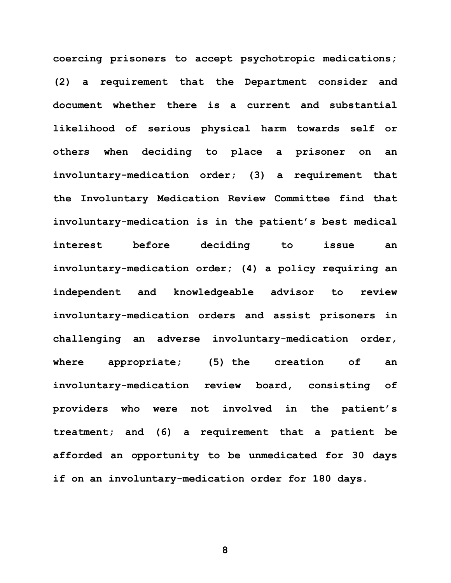**coercing prisoners to accept psychotropic medications; (2) a requirement that the Department consider and document whether there is a current and substantial likelihood of serious physical harm towards self or others when deciding to place a prisoner on an involuntary-medication order; (3) a requirement that the Involuntary Medication Review Committee find that involuntary-medication is in the patient's best medical interest before deciding to issue an involuntary-medication order; (4) a policy requiring an independent and knowledgeable advisor to review involuntary-medication orders and assist prisoners in challenging an adverse involuntary-medication order, where appropriate; (5) the creation of an involuntary-medication review board, consisting of providers who were not involved in the patient's treatment; and (6) a requirement that a patient be afforded an opportunity to be unmedicated for 30 days if on an involuntary-medication order for 180 days.**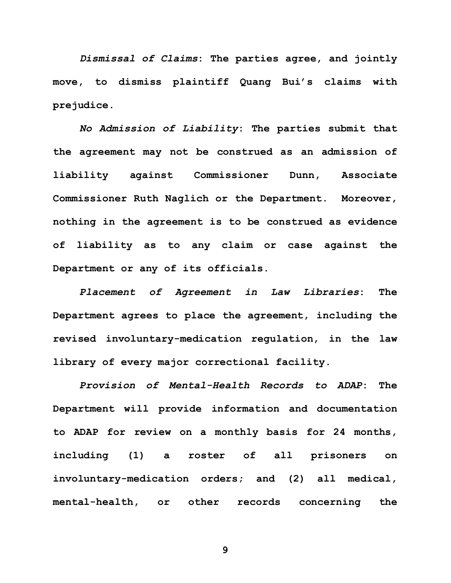*Dismissal of Claims***: The parties agree, and jointly move, to dismiss plaintiff Quang Bui's claims with prejudice.** 

*No Admission of Liability***: The parties submit that the agreement may not be construed as an admission of liability against Commissioner Dunn, Associate Commissioner Ruth Naglich or the Department. Moreover, nothing in the agreement is to be construed as evidence of liability as to any claim or case against the Department or any of its officials.**

*Placement of Agreement in Law Libraries***: The Department agrees to place the agreement, including the revised involuntary-medication regulation, in the law library of every major correctional facility.** 

*Provision of Mental-Health Records to ADAP***: The Department will provide information and documentation to ADAP for review on a monthly basis for 24 months, including (1) a roster of all prisoners on involuntary-medication orders; and (2) all medical, mental-health, or other records concerning the**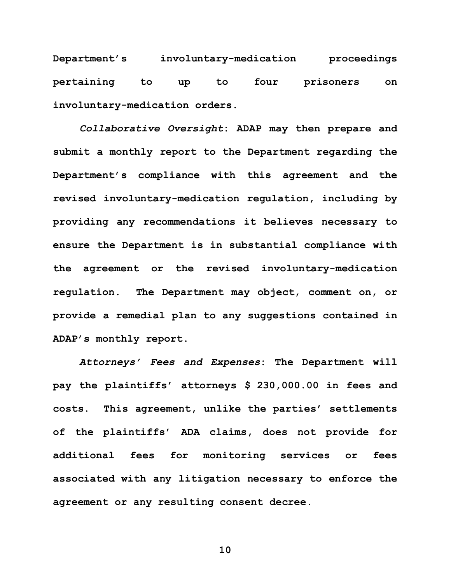**Department's involuntary-medication proceedings pertaining to up to four prisoners on involuntary-medication orders.**

*Collaborative Oversight***: ADAP may then prepare and submit a monthly report to the Department regarding the Department's compliance with this agreement and the revised involuntary-medication regulation, including by providing any recommendations it believes necessary to ensure the Department is in substantial compliance with the agreement or the revised involuntary-medication regulation. The Department may object, comment on, or provide a remedial plan to any suggestions contained in ADAP's monthly report.** 

*Attorneys' Fees and Expenses***: The Department will pay the plaintiffs' attorneys \$ 230,000.00 in fees and costs. This agreement, unlike the parties' settlements of the plaintiffs' ADA claims, does not provide for additional fees for monitoring services or fees associated with any litigation necessary to enforce the agreement or any resulting consent decree.**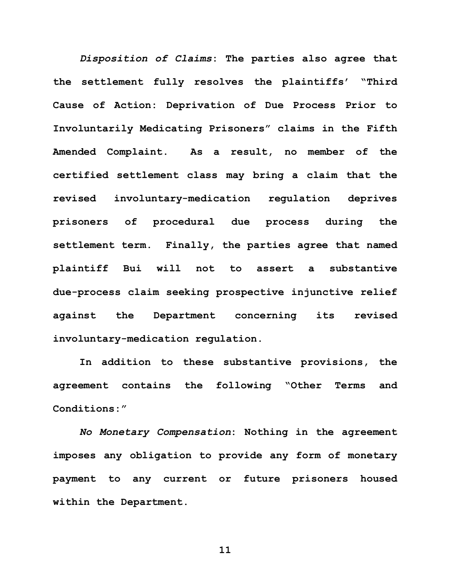*Disposition of Claims***: The parties also agree that the settlement fully resolves the plaintiffs' "Third Cause of Action: Deprivation of Due Process Prior to Involuntarily Medicating Prisoners" claims in the Fifth Amended Complaint. As a result, no member of the certified settlement class may bring a claim that the revised involuntary-medication regulation deprives prisoners of procedural due process during the settlement term. Finally, the parties agree that named plaintiff Bui will not to assert a substantive due-process claim seeking prospective injunctive relief against the Department concerning its revised involuntary-medication regulation.**

**In addition to these substantive provisions, the agreement contains the following "Other Terms and Conditions:"**

*No Monetary Compensation***: Nothing in the agreement imposes any obligation to provide any form of monetary payment to any current or future prisoners housed within the Department.**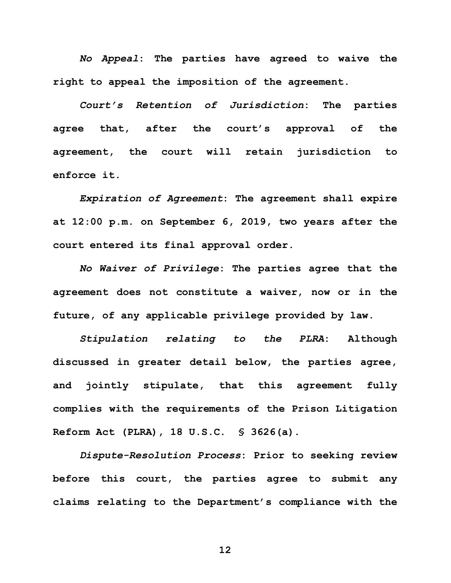*No Appeal***: The parties have agreed to waive the right to appeal the imposition of the agreement.** 

*Court's Retention of Jurisdiction***: The parties agree that, after the court's approval of the agreement, the court will retain jurisdiction to enforce it.** 

*Expiration of Agreement***: The agreement shall expire at 12:00 p.m. on September 6, 2019, two years after the court entered its final approval order.**

*No Waiver of Privilege***: The parties agree that the agreement does not constitute a waiver, now or in the future, of any applicable privilege provided by law.** 

*Stipulation relating to the PLRA***: Although discussed in greater detail below, the parties agree, and jointly stipulate, that this agreement fully complies with the requirements of the Prison Litigation Reform Act (PLRA), 18 U.S.C. § 3626(a).** 

*Dispute-Resolution Process***: Prior to seeking review before this court, the parties agree to submit any claims relating to the Department's compliance with the**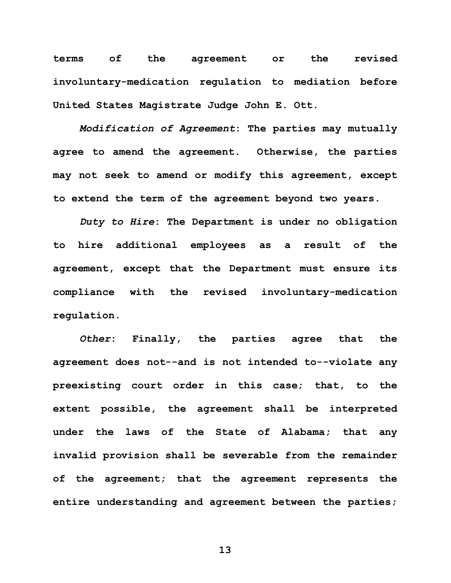**terms of the agreement or the revised involuntary-medication regulation to mediation before United States Magistrate Judge John E. Ott.**

*Modification of Agreement***: The parties may mutually agree to amend the agreement. Otherwise, the parties may not seek to amend or modify this agreement, except to extend the term of the agreement beyond two years.** 

*Duty to Hire***: The Department is under no obligation to hire additional employees as a result of the agreement, except that the Department must ensure its compliance with the revised involuntary-medication regulation.** 

*Other***: Finally, the parties agree that the agreement does not--and is not intended to--violate any preexisting court order in this case; that, to the extent possible, the agreement shall be interpreted under the laws of the State of Alabama; that any invalid provision shall be severable from the remainder of the agreement; that the agreement represents the entire understanding and agreement between the parties;**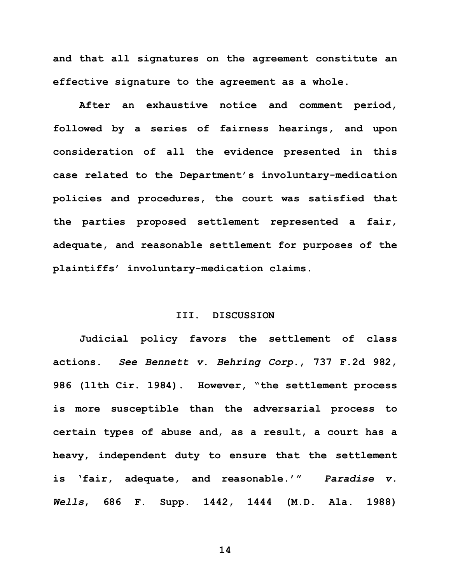**and that all signatures on the agreement constitute an effective signature to the agreement as a whole.**

**After an exhaustive notice and comment period, followed by a series of fairness hearings, and upon consideration of all the evidence presented in this case related to the Department's involuntary-medication policies and procedures, the court was satisfied that the parties proposed settlement represented a fair, adequate, and reasonable settlement for purposes of the plaintiffs' involuntary-medication claims.** 

## **III. DISCUSSION**

**Judicial policy favors the settlement of class actions.** *See Bennett v. Behring Corp.***, 737 F.2d 982, 986 (11th Cir. 1984). However, "the settlement process is more susceptible than the adversarial process to certain types of abuse and, as a result, a court has a heavy, independent duty to ensure that the settlement is 'fair, adequate, and reasonable.'"** *Paradise v. Wells***, 686 F. Supp. 1442, 1444 (M.D. Ala. 1988)**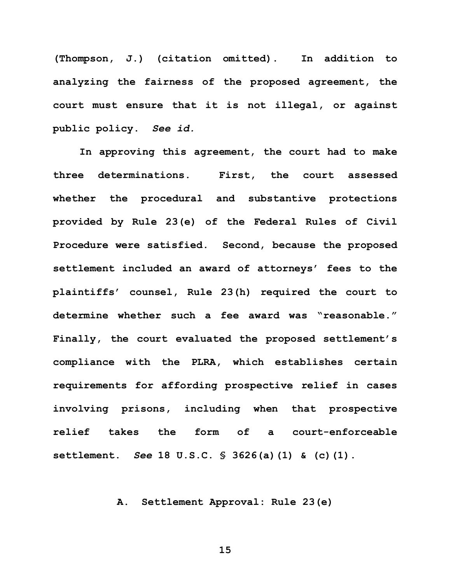**(Thompson, J.) (citation omitted). In addition to analyzing the fairness of the proposed agreement, the court must ensure that it is not illegal, or against public policy.** *See id.*

**In approving this agreement, the court had to make three determinations. First, the court assessed whether the procedural and substantive protections provided by Rule 23(e) of the Federal Rules of Civil Procedure were satisfied. Second, because the proposed settlement included an award of attorneys' fees to the plaintiffs' counsel, Rule 23(h) required the court to determine whether such a fee award was "reasonable." Finally, the court evaluated the proposed settlement's compliance with the PLRA, which establishes certain requirements for affording prospective relief in cases involving prisons, including when that prospective relief takes the form of a court-enforceable settlement.** *See* **18 U.S.C. § 3626(a)(1) & (c)(1).**

## **A. Settlement Approval: Rule 23(e)**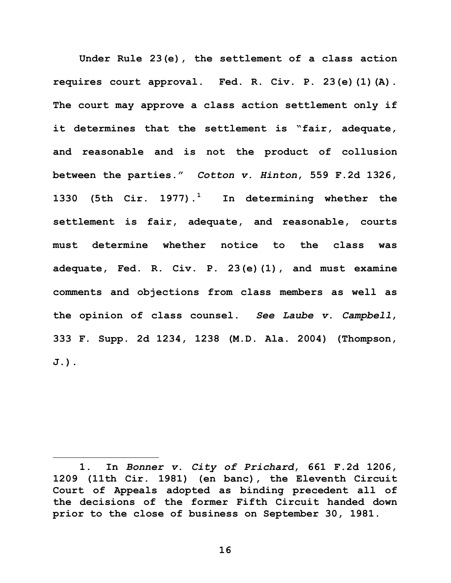**Under Rule 23(e), the settlement of a class action requires court approval. Fed. R. Civ. P. 23(e)(1)(A). The court may approve a class action settlement only if it determines that the settlement is "fair, adequate, and reasonable and is not the product of collusion between the parties."** *Cotton v. Hinton***, 559 F.2d 1326, 1330 (5th Cir. 1977).<sup>1</sup> In determining whether the settlement is fair, adequate, and reasonable, courts must determine whether notice to the class was adequate, Fed. R. Civ. P. 23(e)(1), and must examine comments and objections from class members as well as the opinion of class counsel.** *See Laube v. Campbell***, 333 F. Supp. 2d 1234, 1238 (M.D. Ala. 2004) (Thompson, J.).**

 $\overline{a}$ 

**<sup>1.</sup> In** *Bonner v. City of Prichard***, 661 F.2d 1206, 1209 (11th Cir. 1981) (en banc), the Eleventh Circuit Court of Appeals adopted as binding precedent all of the decisions of the former Fifth Circuit handed down prior to the close of business on September 30, 1981.**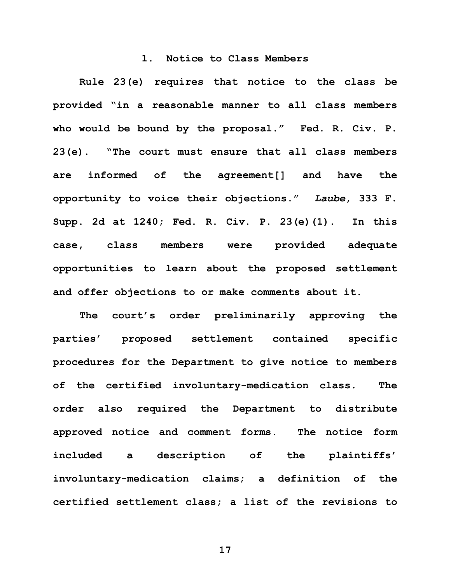### **1. Notice to Class Members**

**Rule 23(e) requires that notice to the class be provided "in a reasonable manner to all class members who would be bound by the proposal." Fed. R. Civ. P. 23(e). "The court must ensure that all class members are informed of the agreement[] and have the opportunity to voice their objections."** *Laube***, 333 F. Supp. 2d at 1240; Fed. R. Civ. P. 23(e)(1). In this case, class members were provided adequate opportunities to learn about the proposed settlement and offer objections to or make comments about it.** 

**The court's order preliminarily approving the parties' proposed settlement contained specific procedures for the Department to give notice to members of the certified involuntary-medication class. The order also required the Department to distribute approved notice and comment forms. The notice form included a description of the plaintiffs' involuntary-medication claims; a definition of the certified settlement class; a list of the revisions to**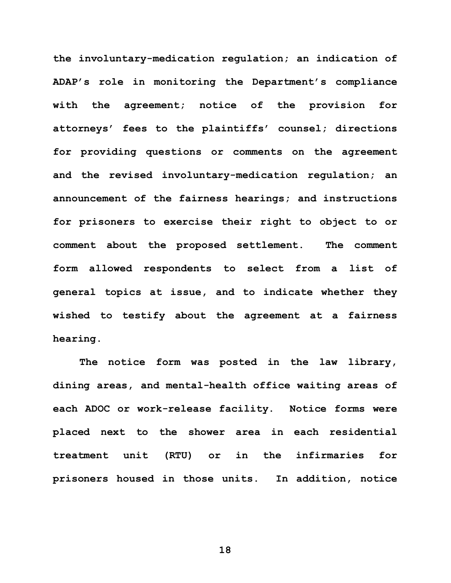**the involuntary-medication regulation; an indication of ADAP's role in monitoring the Department's compliance with the agreement; notice of the provision for attorneys' fees to the plaintiffs' counsel; directions for providing questions or comments on the agreement and the revised involuntary-medication regulation; an announcement of the fairness hearings; and instructions for prisoners to exercise their right to object to or comment about the proposed settlement. The comment form allowed respondents to select from a list of general topics at issue, and to indicate whether they wished to testify about the agreement at a fairness hearing.** 

**The notice form was posted in the law library, dining areas, and mental-health office waiting areas of each ADOC or work-release facility. Notice forms were placed next to the shower area in each residential treatment unit (RTU) or in the infirmaries for prisoners housed in those units. In addition, notice**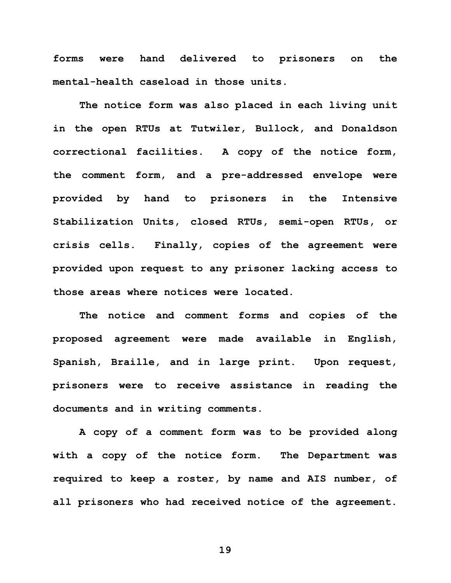**forms were hand delivered to prisoners on the mental-health caseload in those units.** 

**The notice form was also placed in each living unit in the open RTUs at Tutwiler, Bullock, and Donaldson correctional facilities. A copy of the notice form, the comment form, and a pre-addressed envelope were provided by hand to prisoners in the Intensive Stabilization Units, closed RTUs, semi-open RTUs, or crisis cells. Finally, copies of the agreement were provided upon request to any prisoner lacking access to those areas where notices were located.** 

**The notice and comment forms and copies of the proposed agreement were made available in English, Spanish, Braille, and in large print. Upon request, prisoners were to receive assistance in reading the documents and in writing comments.** 

**A copy of a comment form was to be provided along with a copy of the notice form. The Department was required to keep a roster, by name and AIS number, of all prisoners who had received notice of the agreement.**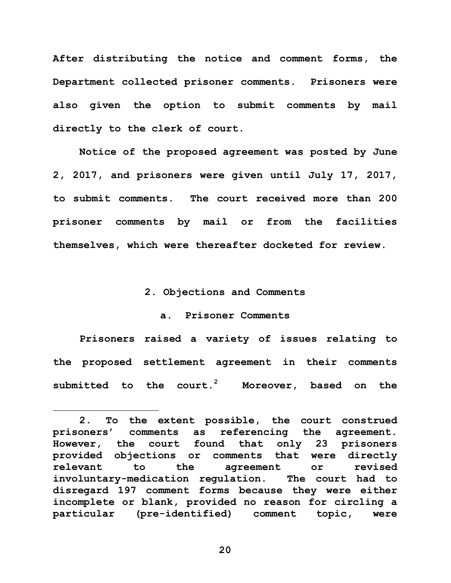**After distributing the notice and comment forms, the Department collected prisoner comments. Prisoners were also given the option to submit comments by mail directly to the clerk of court.** 

**Notice of the proposed agreement was posted by June 2, 2017, and prisoners were given until July 17, 2017, to submit comments. The court received more than 200 prisoner comments by mail or from the facilities themselves, which were thereafter docketed for review.** 

## **2. Objections and Comments**

# **a. Prisoner Comments**

**Prisoners raised a variety of issues relating to the proposed settlement agreement in their comments submitted to the court.<sup>2</sup> Moreover, based on the** 

 $\overline{a}$ 

**<sup>2.</sup> To the extent possible, the court construed prisoners' comments as referencing the agreement. However, the court found that only 23 prisoners provided objections or comments that were directly relevant to the agreement or revised involuntary-medication regulation. The court had to disregard 197 comment forms because they were either incomplete or blank, provided no reason for circling a particular (pre-identified) comment topic, were**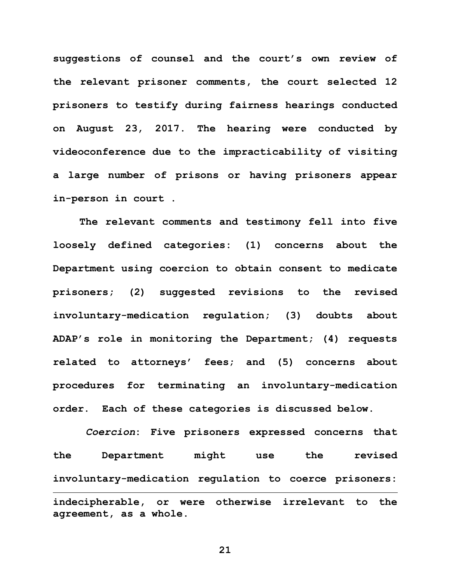**suggestions of counsel and the court's own review of the relevant prisoner comments, the court selected 12 prisoners to testify during fairness hearings conducted on August 23, 2017. The hearing were conducted by videoconference due to the impracticability of visiting a large number of prisons or having prisoners appear in-person in court .** 

**The relevant comments and testimony fell into five loosely defined categories: (1) concerns about the Department using coercion to obtain consent to medicate prisoners; (2) suggested revisions to the revised involuntary-medication regulation; (3) doubts about ADAP's role in monitoring the Department; (4) requests related to attorneys' fees; and (5) concerns about procedures for terminating an involuntary-medication order. Each of these categories is discussed below.** 

*Coercion***: Five prisoners expressed concerns that the Department might use the revised involuntary-medication regulation to coerce prisoners:**   $\overline{a}$ **indecipherable, or were otherwise irrelevant to the agreement, as a whole.**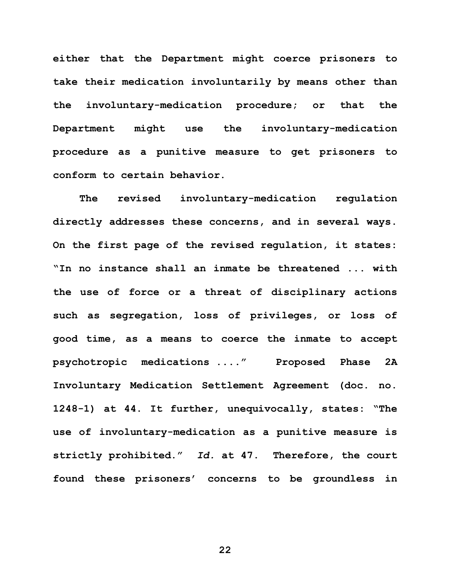**either that the Department might coerce prisoners to take their medication involuntarily by means other than the involuntary-medication procedure; or that the Department might use the involuntary-medication procedure as a punitive measure to get prisoners to conform to certain behavior.** 

**The revised involuntary-medication regulation directly addresses these concerns, and in several ways. On the first page of the revised regulation, it states: "In no instance shall an inmate be threatened ... with the use of force or a threat of disciplinary actions such as segregation, loss of privileges, or loss of good time, as a means to coerce the inmate to accept psychotropic medications ...." Proposed Phase 2A Involuntary Medication Settlement Agreement (doc. no. 1248-1) at 44. It further, unequivocally, states: "The use of involuntary-medication as a punitive measure is strictly prohibited."** *Id.* **at 47. Therefore, the court found these prisoners' concerns to be groundless in**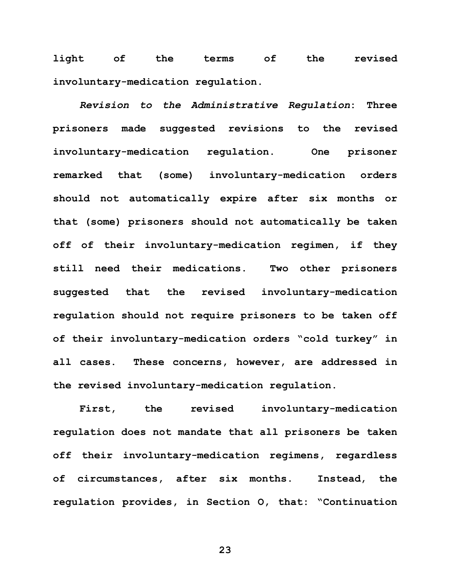**light of the terms of the revised involuntary-medication regulation.** 

*Revision to the Administrative Regulation***: Three prisoners made suggested revisions to the revised involuntary-medication regulation. One prisoner remarked that (some) involuntary-medication orders should not automatically expire after six months or that (some) prisoners should not automatically be taken off of their involuntary-medication regimen, if they still need their medications. Two other prisoners suggested that the revised involuntary-medication regulation should not require prisoners to be taken off of their involuntary-medication orders "cold turkey" in all cases. These concerns, however, are addressed in the revised involuntary-medication regulation.** 

**First, the revised involuntary-medication regulation does not mandate that all prisoners be taken off their involuntary-medication regimens, regardless of circumstances, after six months. Instead, the regulation provides, in Section O, that: "Continuation**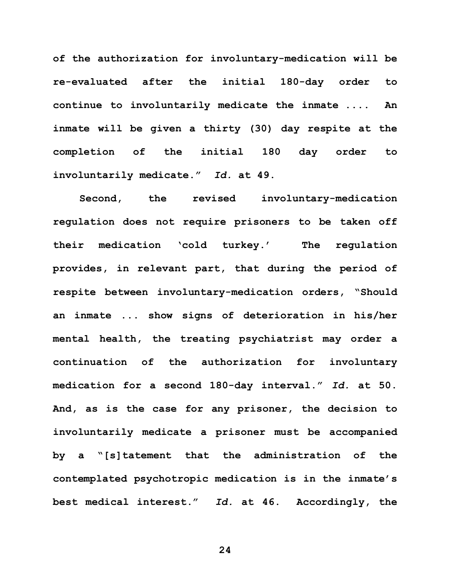**of the authorization for involuntary-medication will be re-evaluated after the initial 180-day order to continue to involuntarily medicate the inmate .... An inmate will be given a thirty (30) day respite at the completion of the initial 180 day order to involuntarily medicate."** *Id.* **at 49.** 

**Second, the revised involuntary-medication regulation does not require prisoners to be taken off their medication 'cold turkey.' The regulation provides, in relevant part, that during the period of respite between involuntary-medication orders, "Should an inmate ... show signs of deterioration in his/her mental health, the treating psychiatrist may order a continuation of the authorization for involuntary medication for a second 180-day interval."** *Id.* **at 50. And, as is the case for any prisoner, the decision to involuntarily medicate a prisoner must be accompanied by a "[s]tatement that the administration of the contemplated psychotropic medication is in the inmate's best medical interest."** *Id.* **at 46. Accordingly, the**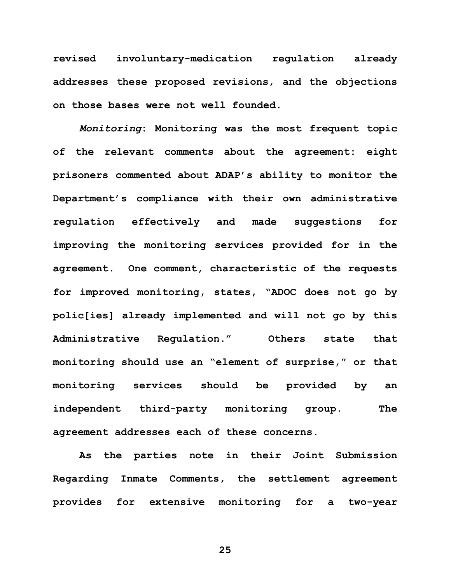**revised involuntary-medication regulation already addresses these proposed revisions, and the objections on those bases were not well founded.**

*Monitoring***: Monitoring was the most frequent topic of the relevant comments about the agreement: eight prisoners commented about ADAP's ability to monitor the Department's compliance with their own administrative regulation effectively and made suggestions for improving the monitoring services provided for in the agreement. One comment, characteristic of the requests for improved monitoring, states, "ADOC does not go by polic[ies] already implemented and will not go by this Administrative Regulation." Others state that monitoring should use an "element of surprise," or that monitoring services should be provided by an independent third-party monitoring group. The agreement addresses each of these concerns.** 

**As the parties note in their Joint Submission Regarding Inmate Comments, the settlement agreement provides for extensive monitoring for a two-year**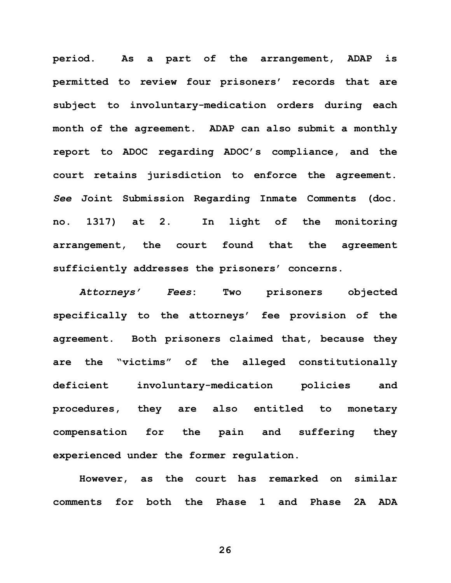**period. As a part of the arrangement, ADAP is permitted to review four prisoners' records that are subject to involuntary-medication orders during each month of the agreement. ADAP can also submit a monthly report to ADOC regarding ADOC's compliance, and the court retains jurisdiction to enforce the agreement.**  *See* **Joint Submission Regarding Inmate Comments (doc. no. 1317) at 2. In light of the monitoring arrangement, the court found that the agreement sufficiently addresses the prisoners' concerns.** 

*Attorneys' Fees***: Two prisoners objected specifically to the attorneys' fee provision of the agreement. Both prisoners claimed that, because they are the "victims" of the alleged constitutionally deficient involuntary-medication policies and procedures, they are also entitled to monetary compensation for the pain and suffering they experienced under the former regulation.** 

**However, as the court has remarked on similar comments for both the Phase 1 and Phase 2A ADA**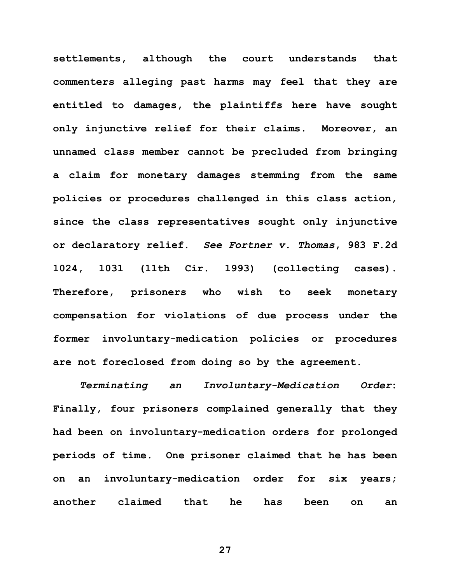**settlements, although the court understands that commenters alleging past harms may feel that they are entitled to damages, the plaintiffs here have sought only injunctive relief for their claims. Moreover, an unnamed class member cannot be precluded from bringing a claim for monetary damages stemming from the same policies or procedures challenged in this class action, since the class representatives sought only injunctive or declaratory relief.** *See Fortner v. Thomas***, 983 F.2d 1024, 1031 (11th Cir. 1993) (collecting cases). Therefore, prisoners who wish to seek monetary compensation for violations of due process under the former involuntary-medication policies or procedures are not foreclosed from doing so by the agreement.** 

*Terminating an Involuntary-Medication Order***: Finally, four prisoners complained generally that they had been on involuntary-medication orders for prolonged periods of time. One prisoner claimed that he has been on an involuntary-medication order for six years; another claimed that he has been on an**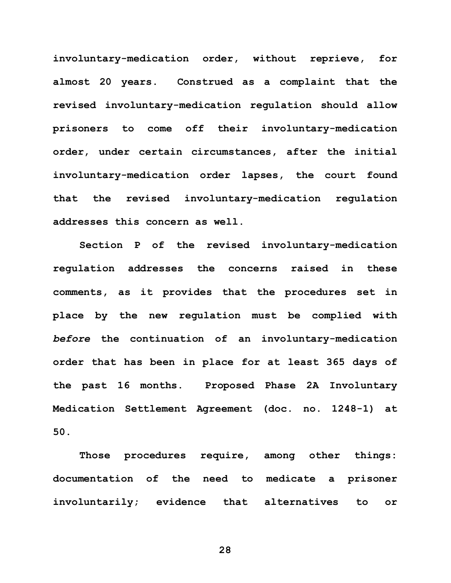**involuntary-medication order, without reprieve, for almost 20 years. Construed as a complaint that the revised involuntary-medication regulation should allow prisoners to come off their involuntary-medication order, under certain circumstances, after the initial involuntary-medication order lapses, the court found that the revised involuntary-medication regulation addresses this concern as well.** 

**Section P of the revised involuntary-medication regulation addresses the concerns raised in these comments, as it provides that the procedures set in place by the new regulation must be complied with**  *before* **the continuation of an involuntary-medication order that has been in place for at least 365 days of the past 16 months. Proposed Phase 2A Involuntary Medication Settlement Agreement (doc. no. 1248-1) at 50.**

**Those procedures require, among other things: documentation of the need to medicate a prisoner involuntarily; evidence that alternatives to or**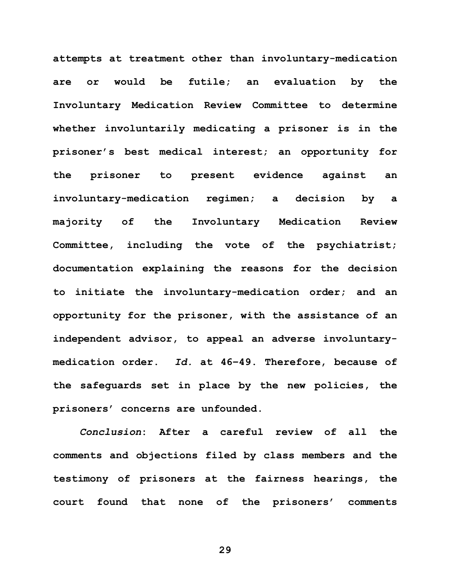**attempts at treatment other than involuntary-medication are or would be futile; an evaluation by the Involuntary Medication Review Committee to determine whether involuntarily medicating a prisoner is in the prisoner's best medical interest; an opportunity for the prisoner to present evidence against an involuntary-medication regimen; a decision by a majority of the Involuntary Medication Review Committee, including the vote of the psychiatrist; documentation explaining the reasons for the decision to initiate the involuntary-medication order; and an opportunity for the prisoner, with the assistance of an independent advisor, to appeal an adverse involuntarymedication order.** *Id.* **at 46–49. Therefore, because of the safeguards set in place by the new policies, the prisoners' concerns are unfounded.** 

*Conclusion***: After a careful review of all the comments and objections filed by class members and the testimony of prisoners at the fairness hearings, the court found that none of the prisoners' comments**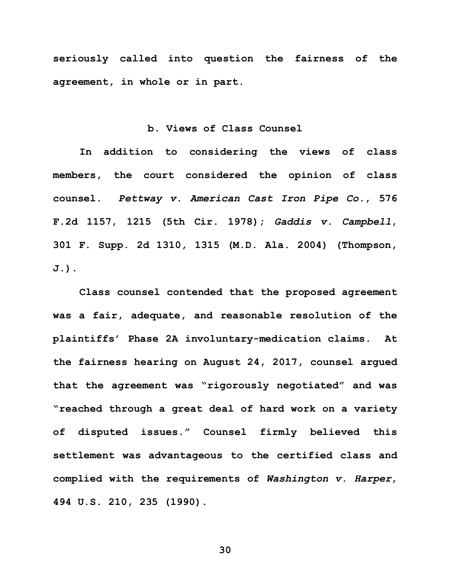**seriously called into question the fairness of the agreement, in whole or in part.** 

#### **b. Views of Class Counsel**

**In addition to considering the views of class members, the court considered the opinion of class counsel.** *Pettway v. American Cast Iron Pipe Co.***, 576 F.2d 1157, 1215 (5th Cir. 1978);** *Gaddis v. Campbell***, 301 F. Supp. 2d 1310, 1315 (M.D. Ala. 2004) (Thompson, J.).**

**Class counsel contended that the proposed agreement was a fair, adequate, and reasonable resolution of the plaintiffs' Phase 2A involuntary-medication claims. At the fairness hearing on August 24, 2017, counsel argued that the agreement was "rigorously negotiated" and was "reached through a great deal of hard work on a variety of disputed issues." Counsel firmly believed this settlement was advantageous to the certified class and complied with the requirements of** *Washington v. Harper***, 494 U.S. 210, 235 (1990).**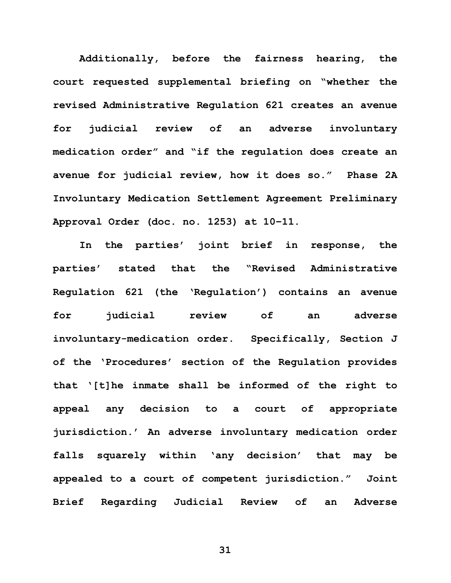**Additionally, before the fairness hearing, the court requested supplemental briefing on "whether the revised Administrative Regulation 621 creates an avenue for judicial review of an adverse involuntary medication order" and "if the regulation does create an avenue for judicial review, how it does so." Phase 2A Involuntary Medication Settlement Agreement Preliminary Approval Order (doc. no. 1253) at 10–11.** 

**In the parties' joint brief in response, the parties' stated that the "Revised Administrative Regulation 621 (the 'Regulation') contains an avenue for judicial review of an adverse involuntary-medication order. Specifically, Section J of the 'Procedures' section of the Regulation provides that '[t]he inmate shall be informed of the right to appeal any decision to a court of appropriate jurisdiction.' An adverse involuntary medication order falls squarely within 'any decision' that may be appealed to a court of competent jurisdiction." Joint Brief Regarding Judicial Review of an Adverse**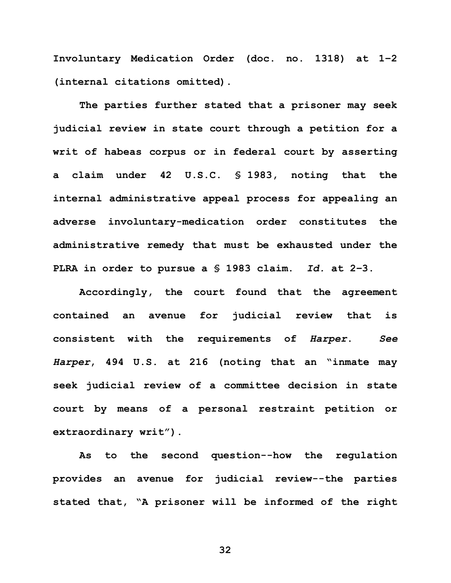**Involuntary Medication Order (doc. no. 1318) at 1–2 (internal citations omitted).** 

**The parties further stated that a prisoner may seek judicial review in state court through a petition for a writ of habeas corpus or in federal court by asserting a claim under 42 U.S.C. § 1983, noting that the internal administrative appeal process for appealing an adverse involuntary-medication order constitutes the administrative remedy that must be exhausted under the PLRA in order to pursue a § 1983 claim.** *Id.* **at 2–3.**

**Accordingly, the court found that the agreement contained an avenue for judicial review that is consistent with the requirements of** *Harper***.** *See Harper***, 494 U.S. at 216 (noting that an "inmate may seek judicial review of a committee decision in state court by means of a personal restraint petition or extraordinary writ").**

**As to the second question--how the regulation provides an avenue for judicial review--the parties stated that, "A prisoner will be informed of the right**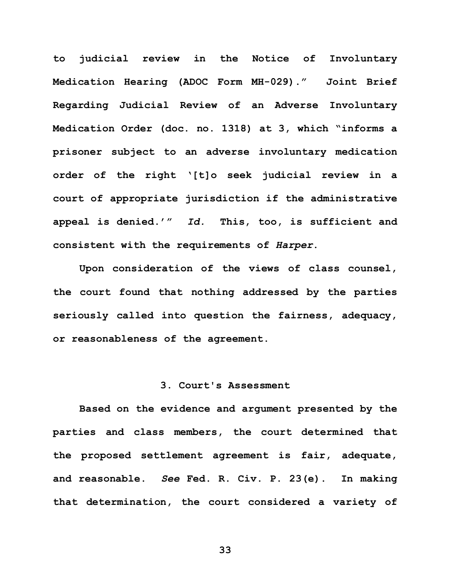**to judicial review in the Notice of Involuntary Medication Hearing (ADOC Form MH-029)." Joint Brief Regarding Judicial Review of an Adverse Involuntary Medication Order (doc. no. 1318) at 3, which "informs a prisoner subject to an adverse involuntary medication order of the right '[t]o seek judicial review in a court of appropriate jurisdiction if the administrative appeal is denied.'"** *Id.* **This, too, is sufficient and consistent with the requirements of** *Harper***.**

**Upon consideration of the views of class counsel, the court found that nothing addressed by the parties seriously called into question the fairness, adequacy, or reasonableness of the agreement.** 

## **3. Court's Assessment**

**Based on the evidence and argument presented by the parties and class members, the court determined that the proposed settlement agreement is fair, adequate, and reasonable.** *See* **Fed. R. Civ. P. 23(e). In making that determination, the court considered a variety of**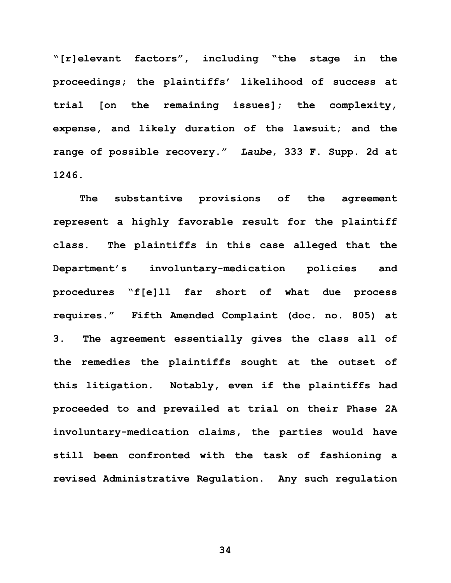**"[r]elevant factors", including "the stage in the proceedings; the plaintiffs' likelihood of success at trial [on the remaining issues]; the complexity, expense, and likely duration of the lawsuit; and the range of possible recovery."** *Laube***, 333 F. Supp. 2d at 1246.**

**The substantive provisions of the agreement represent a highly favorable result for the plaintiff class. The plaintiffs in this case alleged that the Department's involuntary-medication policies and procedures "f[e]ll far short of what due process requires." Fifth Amended Complaint (doc. no. 805) at 3. The agreement essentially gives the class all of the remedies the plaintiffs sought at the outset of this litigation. Notably, even if the plaintiffs had proceeded to and prevailed at trial on their Phase 2A involuntary-medication claims, the parties would have still been confronted with the task of fashioning a revised Administrative Regulation. Any such regulation**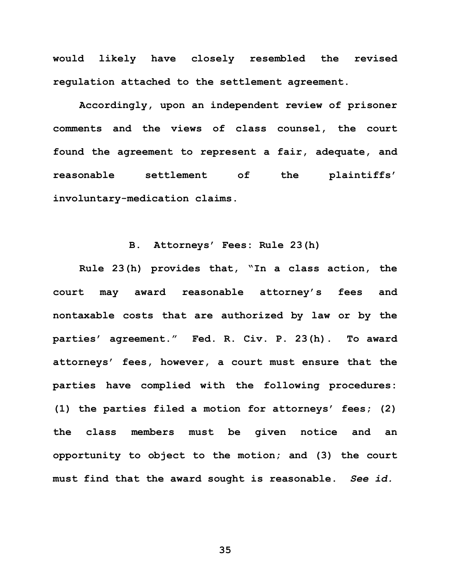**would likely have closely resembled the revised regulation attached to the settlement agreement.**

**Accordingly, upon an independent review of prisoner comments and the views of class counsel, the court found the agreement to represent a fair, adequate, and reasonable settlement of the plaintiffs' involuntary-medication claims.** 

## **B. Attorneys' Fees: Rule 23(h)**

**Rule 23(h) provides that, "In a class action, the court may award reasonable attorney's fees and nontaxable costs that are authorized by law or by the parties' agreement." Fed. R. Civ. P. 23(h). To award attorneys' fees, however, a court must ensure that the parties have complied with the following procedures: (1) the parties filed a motion for attorneys' fees; (2) the class members must be given notice and an opportunity to object to the motion; and (3) the court must find that the award sought is reasonable.** *See id.*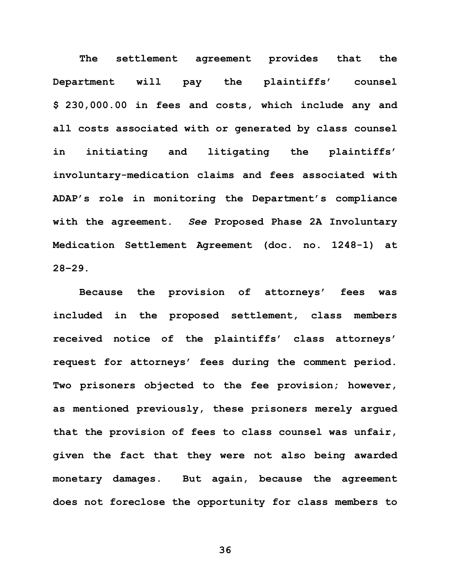**The settlement agreement provides that the Department will pay the plaintiffs' counsel \$ 230,000.00 in fees and costs, which include any and all costs associated with or generated by class counsel in initiating and litigating the plaintiffs' involuntary-medication claims and fees associated with ADAP's role in monitoring the Department's compliance with the agreement.** *See* **Proposed Phase 2A Involuntary Medication Settlement Agreement (doc. no. 1248-1) at 28–29.** 

**Because the provision of attorneys' fees was included in the proposed settlement, class members received notice of the plaintiffs' class attorneys' request for attorneys' fees during the comment period. Two prisoners objected to the fee provision; however, as mentioned previously, these prisoners merely argued that the provision of fees to class counsel was unfair, given the fact that they were not also being awarded monetary damages. But again, because the agreement does not foreclose the opportunity for class members to**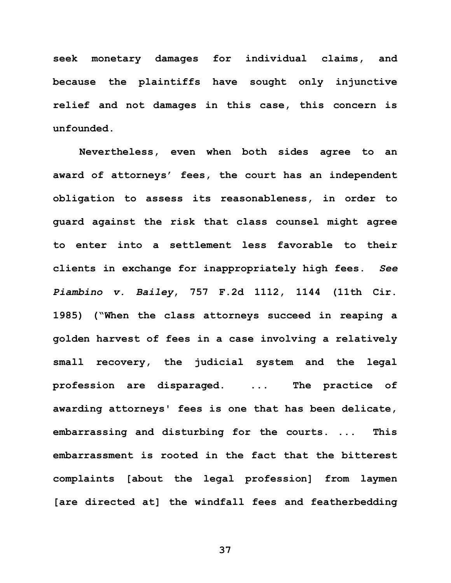**seek monetary damages for individual claims, and because the plaintiffs have sought only injunctive relief and not damages in this case, this concern is unfounded.** 

**Nevertheless, even when both sides agree to an award of attorneys' fees, the court has an independent obligation to assess its reasonableness, in order to guard against the risk that class counsel might agree to enter into a settlement less favorable to their clients in exchange for inappropriately high fees.** *See Piambino v. Bailey***, 757 F.2d 1112, 1144 (11th Cir. 1985) ("When the class attorneys succeed in reaping a golden harvest of fees in a case involving a relatively small recovery, the judicial system and the legal profession are disparaged. ... The practice of awarding attorneys' fees is one that has been delicate, embarrassing and disturbing for the courts. ... This embarrassment is rooted in the fact that the bitterest complaints [about the legal profession] from laymen [are directed at] the windfall fees and featherbedding**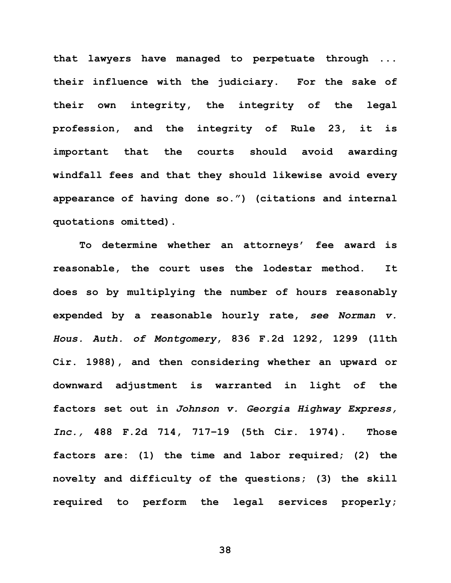**that lawyers have managed to perpetuate through ... their influence with the judiciary. For the sake of their own integrity, the integrity of the legal profession, and the integrity of Rule 23, it is important that the courts should avoid awarding windfall fees and that they should likewise avoid every appearance of having done so.") (citations and internal quotations omitted).**

**To determine whether an attorneys' fee award is reasonable, the court uses the lodestar method. It does so by multiplying the number of hours reasonably expended by a reasonable hourly rate,** *see Norman v. Hous. Auth. of Montgomery***, 836 F.2d 1292, 1299 (11th Cir. 1988), and then considering whether an upward or downward adjustment is warranted in light of the factors set out in** *Johnson v. Georgia Highway Express, Inc.,* **488 F.2d 714, 717–19 (5th Cir. 1974). Those factors are: (1) the time and labor required; (2) the novelty and difficulty of the questions; (3) the skill required to perform the legal services properly;**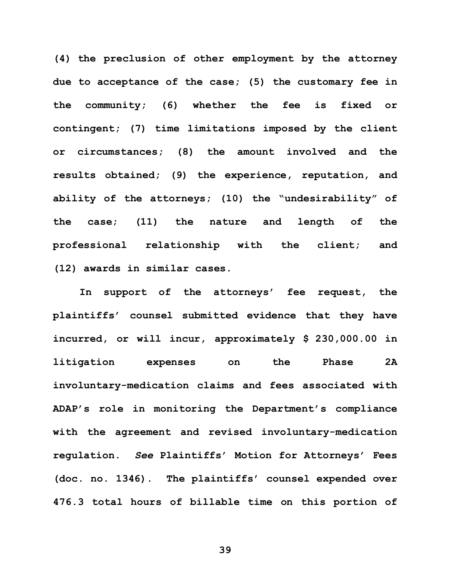**(4) the preclusion of other employment by the attorney due to acceptance of the case; (5) the customary fee in**  the community; (6) whether the fee is fixed **contingent; (7) time limitations imposed by the client or circumstances; (8) the amount involved and the results obtained; (9) the experience, reputation, and ability of the attorneys; (10) the "undesirability" of the case; (11) the nature and length of the professional relationship with the client; and (12) awards in similar cases.**

**In support of the attorneys' fee request, the plaintiffs' counsel submitted evidence that they have incurred, or will incur, approximately \$ 230,000.00 in litigation expenses on the Phase 2A involuntary-medication claims and fees associated with ADAP's role in monitoring the Department's compliance with the agreement and revised involuntary-medication regulation.** *See* **Plaintiffs' Motion for Attorneys' Fees (doc. no. 1346). The plaintiffs' counsel expended over 476.3 total hours of billable time on this portion of**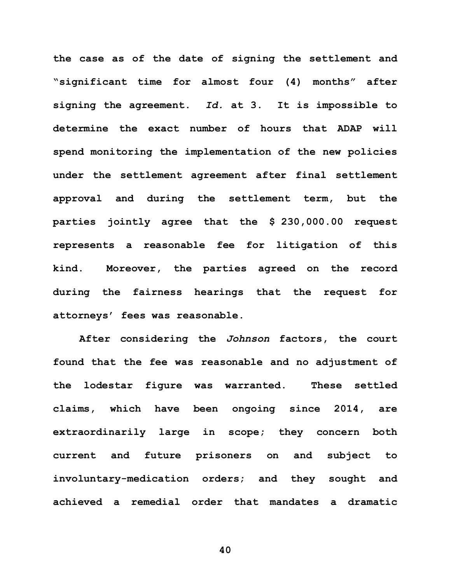**the case as of the date of signing the settlement and "significant time for almost four (4) months" after signing the agreement.** *Id.* **at 3. It is impossible to determine the exact number of hours that ADAP will spend monitoring the implementation of the new policies under the settlement agreement after final settlement approval and during the settlement term, but the parties jointly agree that the \$ 230,000.00 request represents a reasonable fee for litigation of this kind. Moreover, the parties agreed on the record during the fairness hearings that the request for attorneys' fees was reasonable.** 

**After considering the** *Johnson* **factors, the court found that the fee was reasonable and no adjustment of the lodestar figure was warranted. These settled claims, which have been ongoing since 2014, are extraordinarily large in scope; they concern both current and future prisoners on and subject to involuntary-medication orders; and they sought and achieved a remedial order that mandates a dramatic**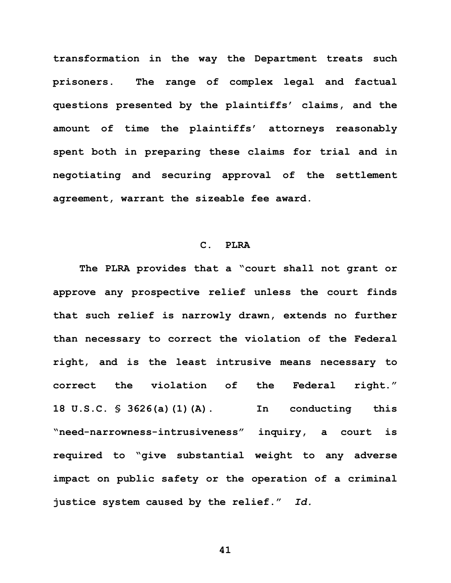**transformation in the way the Department treats such prisoners. The range of complex legal and factual questions presented by the plaintiffs' claims, and the amount of time the plaintiffs' attorneys reasonably spent both in preparing these claims for trial and in negotiating and securing approval of the settlement agreement, warrant the sizeable fee award.**

## **C. PLRA**

**The PLRA provides that a "court shall not grant or approve any prospective relief unless the court finds that such relief is narrowly drawn, extends no further than necessary to correct the violation of the Federal right, and is the least intrusive means necessary to correct the violation of the Federal right." 18 U.S.C. § 3626(a)(1)(A). In conducting this "need-narrowness-intrusiveness" inquiry, a court is required to "give substantial weight to any adverse impact on public safety or the operation of a criminal justice system caused by the relief."** *Id.*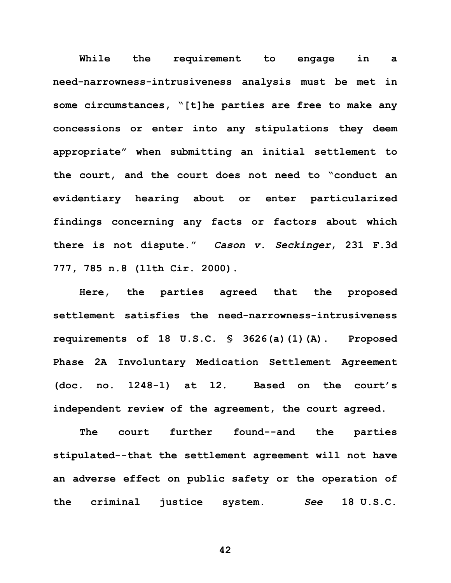**While the requirement to engage in a need-narrowness-intrusiveness analysis must be met in some circumstances, "[t]he parties are free to make any concessions or enter into any stipulations they deem appropriate" when submitting an initial settlement to the court, and the court does not need to "conduct an evidentiary hearing about or enter particularized findings concerning any facts or factors about which there is not dispute."** *Cason v. Seckinger***, 231 F.3d 777, 785 n.8 (11th Cir. 2000).** 

**Here, the parties agreed that the proposed settlement satisfies the need-narrowness-intrusiveness requirements of 18 U.S.C. § 3626(a)(1)(A). Proposed Phase 2A Involuntary Medication Settlement Agreement (doc. no. 1248-1) at 12. Based on the court's independent review of the agreement, the court agreed.** 

**The court further found--and the parties stipulated--that the settlement agreement will not have an adverse effect on public safety or the operation of the criminal justice system.** *See* **18 U.S.C.**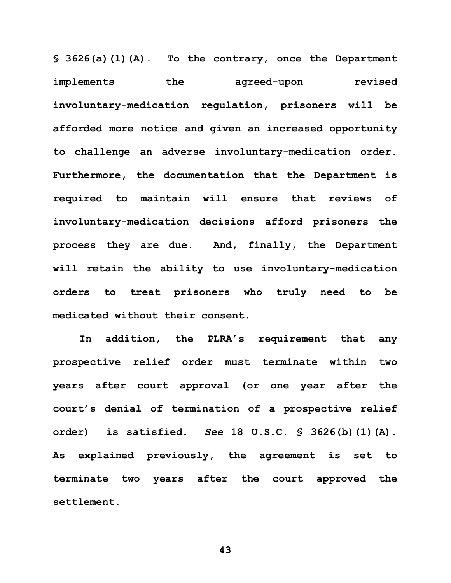**§ 3626(a)(1)(A). To the contrary, once the Department implements the agreed-upon revised involuntary-medication regulation, prisoners will be afforded more notice and given an increased opportunity to challenge an adverse involuntary-medication order. Furthermore, the documentation that the Department is required to maintain will ensure that reviews of involuntary-medication decisions afford prisoners the process they are due. And, finally, the Department will retain the ability to use involuntary-medication orders to treat prisoners who truly need to be medicated without their consent.**

**In addition, the PLRA's requirement that any prospective relief order must terminate within two years after court approval (or one year after the court's denial of termination of a prospective relief order) is satisfied.** *See* **18 U.S.C. § 3626(b)(1)(A). As explained previously, the agreement is set to terminate two years after the court approved the settlement.**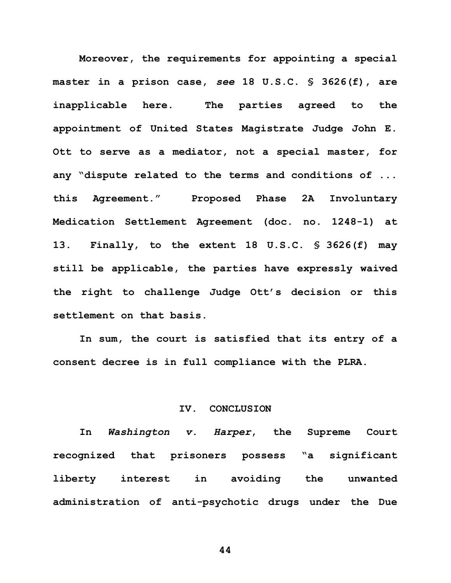**Moreover, the requirements for appointing a special master in a prison case,** *see* **18 U.S.C. § 3626(f), are inapplicable here. The parties agreed to the appointment of United States Magistrate Judge John E. Ott to serve as a mediator, not a special master, for any "dispute related to the terms and conditions of ... this Agreement." Proposed Phase 2A Involuntary Medication Settlement Agreement (doc. no. 1248-1) at 13. Finally, to the extent 18 U.S.C. § 3626(f) may still be applicable, the parties have expressly waived the right to challenge Judge Ott's decision or this settlement on that basis.** 

**In sum, the court is satisfied that its entry of a consent decree is in full compliance with the PLRA.**

## **IV. CONCLUSION**

**In** *Washington v. Harper***, the Supreme Court recognized that prisoners possess "a significant liberty interest in avoiding the unwanted administration of anti-psychotic drugs under the Due**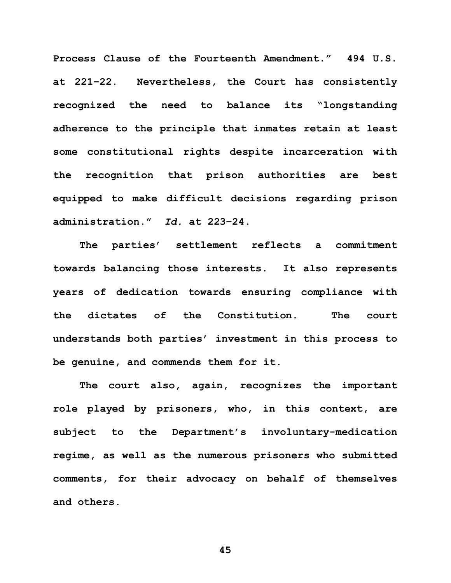**Process Clause of the Fourteenth Amendment." 494 U.S. at 221–22. Nevertheless, the Court has consistently recognized the need to balance its "longstanding adherence to the principle that inmates retain at least some constitutional rights despite incarceration with the recognition that prison authorities are best equipped to make difficult decisions regarding prison administration."** *Id.* **at 223–24.** 

**The parties' settlement reflects a commitment towards balancing those interests. It also represents years of dedication towards ensuring compliance with the dictates of the Constitution. The court understands both parties' investment in this process to be genuine, and commends them for it.** 

**The court also, again, recognizes the important role played by prisoners, who, in this context, are subject to the Department's involuntary-medication regime, as well as the numerous prisoners who submitted comments, for their advocacy on behalf of themselves and others.**